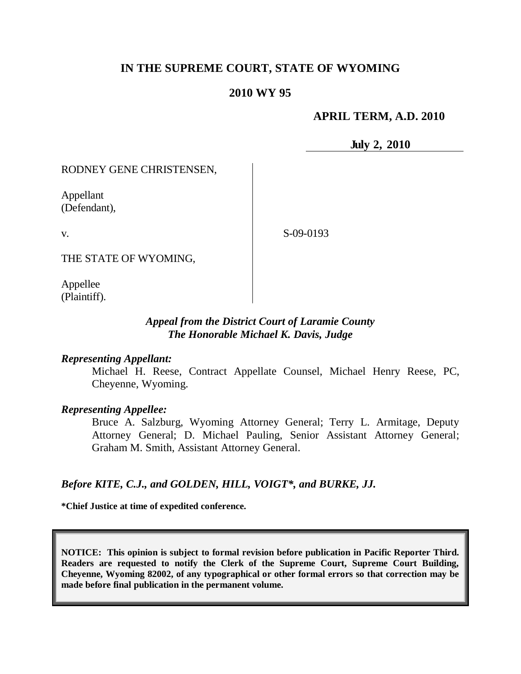# **IN THE SUPREME COURT, STATE OF WYOMING**

# **2010 WY 95**

## **APRIL TERM, A.D. 2010**

**July 2, 2010**

RODNEY GENE CHRISTENSEN,

Appellant (Defendant),

v.

S-09-0193

THE STATE OF WYOMING,

Appellee (Plaintiff).

#### *Appeal from the District Court of Laramie County The Honorable Michael K. Davis, Judge*

#### *Representing Appellant:*

Michael H. Reese, Contract Appellate Counsel, Michael Henry Reese, PC, Cheyenne, Wyoming.

#### *Representing Appellee:*

Bruce A. Salzburg, Wyoming Attorney General; Terry L. Armitage, Deputy Attorney General; D. Michael Pauling, Senior Assistant Attorney General; Graham M. Smith, Assistant Attorney General.

### *Before KITE, C.J., and GOLDEN, HILL, VOIGT\*, and BURKE, JJ.*

**\*Chief Justice at time of expedited conference.**

**NOTICE: This opinion is subject to formal revision before publication in Pacific Reporter Third. Readers are requested to notify the Clerk of the Supreme Court, Supreme Court Building, Cheyenne, Wyoming 82002, of any typographical or other formal errors so that correction may be made before final publication in the permanent volume.**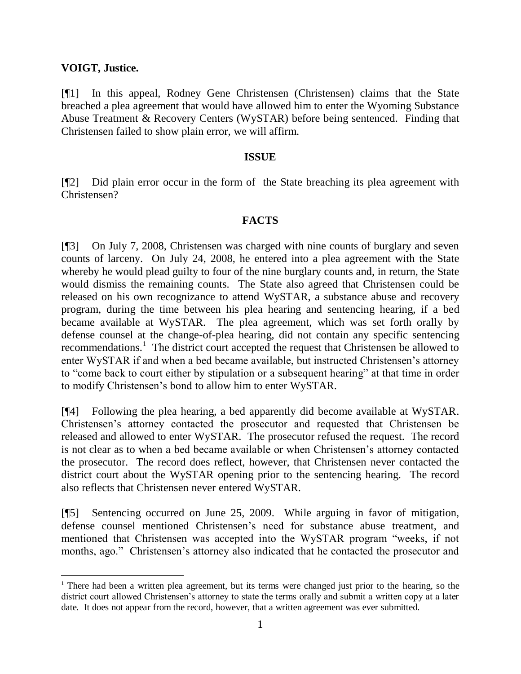## **VOIGT, Justice.**

 $\overline{a}$ 

[¶1] In this appeal, Rodney Gene Christensen (Christensen) claims that the State breached a plea agreement that would have allowed him to enter the Wyoming Substance Abuse Treatment & Recovery Centers (WySTAR) before being sentenced. Finding that Christensen failed to show plain error, we will affirm.

#### **ISSUE**

[¶2] Did plain error occur in the form of the State breaching its plea agreement with Christensen?

# **FACTS**

[¶3] On July 7, 2008, Christensen was charged with nine counts of burglary and seven counts of larceny. On July 24, 2008, he entered into a plea agreement with the State whereby he would plead guilty to four of the nine burglary counts and, in return, the State would dismiss the remaining counts. The State also agreed that Christensen could be released on his own recognizance to attend WySTAR, a substance abuse and recovery program, during the time between his plea hearing and sentencing hearing, if a bed became available at WySTAR. The plea agreement, which was set forth orally by defense counsel at the change-of-plea hearing, did not contain any specific sentencing recommendations.<sup>1</sup> The district court accepted the request that Christensen be allowed to enter WySTAR if and when a bed became available, but instructed Christensen"s attorney to "come back to court either by stipulation or a subsequent hearing" at that time in order to modify Christensen"s bond to allow him to enter WySTAR.

[¶4] Following the plea hearing, a bed apparently did become available at WySTAR. Christensen"s attorney contacted the prosecutor and requested that Christensen be released and allowed to enter WySTAR. The prosecutor refused the request. The record is not clear as to when a bed became available or when Christensen"s attorney contacted the prosecutor. The record does reflect, however, that Christensen never contacted the district court about the WySTAR opening prior to the sentencing hearing. The record also reflects that Christensen never entered WySTAR.

[¶5] Sentencing occurred on June 25, 2009. While arguing in favor of mitigation, defense counsel mentioned Christensen"s need for substance abuse treatment, and mentioned that Christensen was accepted into the WySTAR program "weeks, if not months, ago." Christensen's attorney also indicated that he contacted the prosecutor and

 $1$  There had been a written plea agreement, but its terms were changed just prior to the hearing, so the district court allowed Christensen's attorney to state the terms orally and submit a written copy at a later date. It does not appear from the record, however, that a written agreement was ever submitted.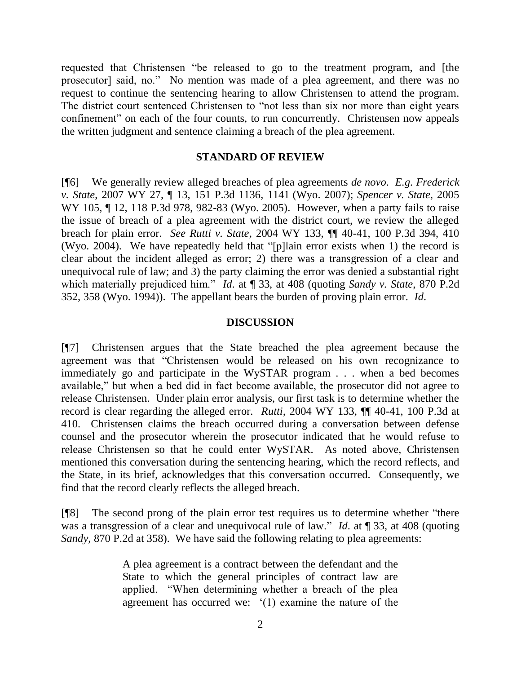requested that Christensen "be released to go to the treatment program, and [the prosecutor] said, no." No mention was made of a plea agreement, and there was no request to continue the sentencing hearing to allow Christensen to attend the program. The district court sentenced Christensen to "not less than six nor more than eight years confinement" on each of the four counts, to run concurrently. Christensen now appeals the written judgment and sentence claiming a breach of the plea agreement.

#### **STANDARD OF REVIEW**

[¶6] We generally review alleged breaches of plea agreements *de novo*. *E.g. Frederick v. State*, 2007 WY 27, ¶ 13, 151 P.3d 1136, 1141 (Wyo. 2007); *Spencer v. State*, 2005 WY 105, ¶ 12, 118 P.3d 978, 982-83 (Wyo. 2005). However, when a party fails to raise the issue of breach of a plea agreement with the district court, we review the alleged breach for plain error. *See Rutti v. State*, 2004 WY 133, ¶¶ 40-41, 100 P.3d 394, 410 (Wyo. 2004). We have repeatedly held that "[p]lain error exists when 1) the record is clear about the incident alleged as error; 2) there was a transgression of a clear and unequivocal rule of law; and 3) the party claiming the error was denied a substantial right which materially prejudiced him." *Id*. at ¶ 33, at 408 (quoting *Sandy v. State*, 870 P.2d 352, 358 (Wyo. 1994)). The appellant bears the burden of proving plain error. *Id*.

#### **DISCUSSION**

[¶7] Christensen argues that the State breached the plea agreement because the agreement was that "Christensen would be released on his own recognizance to immediately go and participate in the WySTAR program . . . when a bed becomes available," but when a bed did in fact become available, the prosecutor did not agree to release Christensen. Under plain error analysis, our first task is to determine whether the record is clear regarding the alleged error. *Rutti,* 2004 WY 133, ¶¶ 40-41, 100 P.3d at 410. Christensen claims the breach occurred during a conversation between defense counsel and the prosecutor wherein the prosecutor indicated that he would refuse to release Christensen so that he could enter WySTAR. As noted above, Christensen mentioned this conversation during the sentencing hearing, which the record reflects, and the State, in its brief, acknowledges that this conversation occurred. Consequently, we find that the record clearly reflects the alleged breach.

[¶8] The second prong of the plain error test requires us to determine whether "there was a transgression of a clear and unequivocal rule of law." *Id.* at ¶ 33, at 408 (quoting *Sandy*, 870 P.2d at 358). We have said the following relating to plea agreements:

> A plea agreement is a contract between the defendant and the State to which the general principles of contract law are applied. "When determining whether a breach of the plea agreement has occurred we: "(1) examine the nature of the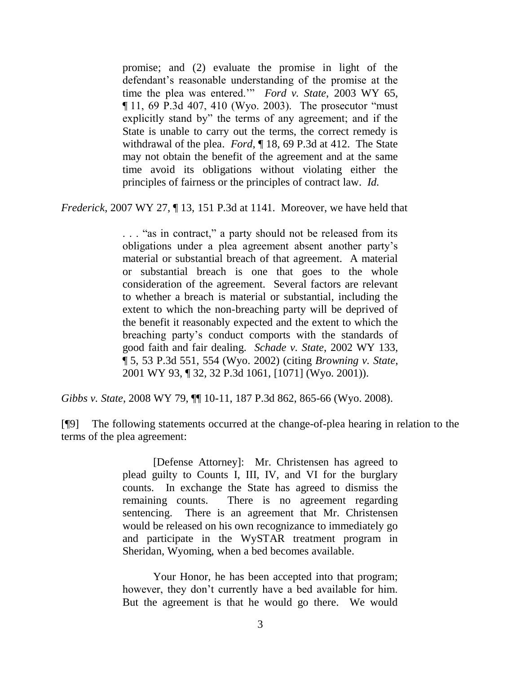promise; and (2) evaluate the promise in light of the defendant's reasonable understanding of the promise at the time the plea was entered."" *Ford v. State*, 2003 WY 65, ¶ 11, 69 P.3d 407, 410 (Wyo. 2003). The prosecutor "must explicitly stand by" the terms of any agreement; and if the State is unable to carry out the terms, the correct remedy is withdrawal of the plea. *Ford*, ¶ 18, 69 P.3d at 412. The State may not obtain the benefit of the agreement and at the same time avoid its obligations without violating either the principles of fairness or the principles of contract law. *Id.*

*Frederick*, 2007 WY 27, ¶ 13, 151 P.3d at 1141. Moreover, we have held that

. . . "as in contract," a party should not be released from its obligations under a plea agreement absent another party"s material or substantial breach of that agreement. A material or substantial breach is one that goes to the whole consideration of the agreement. Several factors are relevant to whether a breach is material or substantial, including the extent to which the non-breaching party will be deprived of the benefit it reasonably expected and the extent to which the breaching party"s conduct comports with the standards of good faith and fair dealing. *Schade v. State*, 2002 WY 133, ¶ 5, 53 P.3d 551, 554 (Wyo. 2002) (citing *Browning v. State*, 2001 WY 93, ¶ 32, 32 P.3d 1061, [1071] (Wyo. 2001)).

*Gibbs v. State*, 2008 WY 79, ¶¶ 10-11, 187 P.3d 862, 865-66 (Wyo. 2008).

[¶9] The following statements occurred at the change-of-plea hearing in relation to the terms of the plea agreement:

> [Defense Attorney]: Mr. Christensen has agreed to plead guilty to Counts I, III, IV, and VI for the burglary counts. In exchange the State has agreed to dismiss the remaining counts. There is no agreement regarding sentencing. There is an agreement that Mr. Christensen would be released on his own recognizance to immediately go and participate in the WySTAR treatment program in Sheridan, Wyoming, when a bed becomes available.

> Your Honor, he has been accepted into that program; however, they don't currently have a bed available for him. But the agreement is that he would go there. We would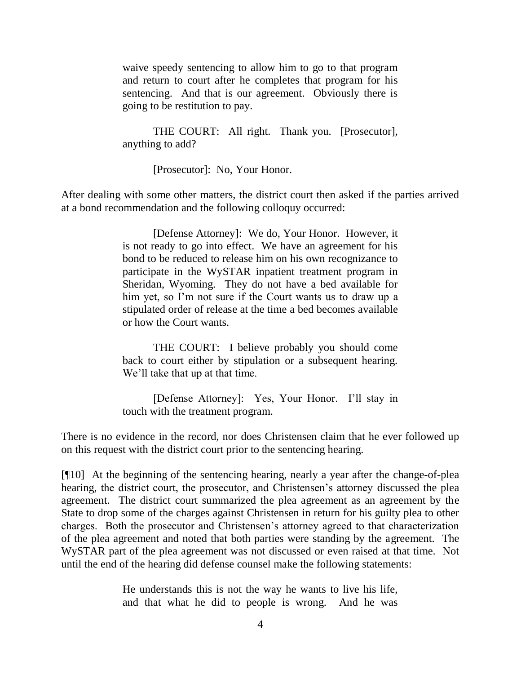waive speedy sentencing to allow him to go to that program and return to court after he completes that program for his sentencing. And that is our agreement. Obviously there is going to be restitution to pay.

THE COURT: All right. Thank you. [Prosecutor], anything to add?

[Prosecutor]: No, Your Honor.

After dealing with some other matters, the district court then asked if the parties arrived at a bond recommendation and the following colloquy occurred:

> [Defense Attorney]: We do, Your Honor. However, it is not ready to go into effect. We have an agreement for his bond to be reduced to release him on his own recognizance to participate in the WySTAR inpatient treatment program in Sheridan, Wyoming. They do not have a bed available for him yet, so I'm not sure if the Court wants us to draw up a stipulated order of release at the time a bed becomes available or how the Court wants.

> THE COURT: I believe probably you should come back to court either by stipulation or a subsequent hearing. We'll take that up at that time.

> [Defense Attorney]: Yes, Your Honor. I"ll stay in touch with the treatment program.

There is no evidence in the record, nor does Christensen claim that he ever followed up on this request with the district court prior to the sentencing hearing.

[¶10] At the beginning of the sentencing hearing, nearly a year after the change-of-plea hearing, the district court, the prosecutor, and Christensen's attorney discussed the plea agreement. The district court summarized the plea agreement as an agreement by the State to drop some of the charges against Christensen in return for his guilty plea to other charges. Both the prosecutor and Christensen"s attorney agreed to that characterization of the plea agreement and noted that both parties were standing by the agreement. The WySTAR part of the plea agreement was not discussed or even raised at that time. Not until the end of the hearing did defense counsel make the following statements:

> He understands this is not the way he wants to live his life, and that what he did to people is wrong. And he was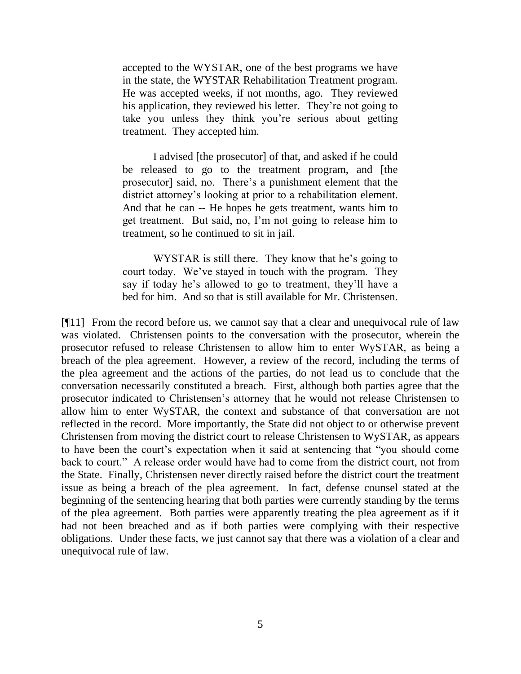accepted to the WYSTAR, one of the best programs we have in the state, the WYSTAR Rehabilitation Treatment program. He was accepted weeks, if not months, ago. They reviewed his application, they reviewed his letter. They're not going to take you unless they think you"re serious about getting treatment. They accepted him.

I advised [the prosecutor] of that, and asked if he could be released to go to the treatment program, and [the prosecutor] said, no. There"s a punishment element that the district attorney's looking at prior to a rehabilitation element. And that he can -- He hopes he gets treatment, wants him to get treatment. But said, no, I"m not going to release him to treatment, so he continued to sit in jail.

WYSTAR is still there. They know that he's going to court today. We've stayed in touch with the program. They say if today he's allowed to go to treatment, they'll have a bed for him. And so that is still available for Mr. Christensen.

[¶11] From the record before us, we cannot say that a clear and unequivocal rule of law was violated. Christensen points to the conversation with the prosecutor, wherein the prosecutor refused to release Christensen to allow him to enter WySTAR, as being a breach of the plea agreement. However, a review of the record, including the terms of the plea agreement and the actions of the parties, do not lead us to conclude that the conversation necessarily constituted a breach. First, although both parties agree that the prosecutor indicated to Christensen"s attorney that he would not release Christensen to allow him to enter WySTAR, the context and substance of that conversation are not reflected in the record. More importantly, the State did not object to or otherwise prevent Christensen from moving the district court to release Christensen to WySTAR, as appears to have been the court"s expectation when it said at sentencing that "you should come back to court." A release order would have had to come from the district court, not from the State. Finally, Christensen never directly raised before the district court the treatment issue as being a breach of the plea agreement. In fact, defense counsel stated at the beginning of the sentencing hearing that both parties were currently standing by the terms of the plea agreement. Both parties were apparently treating the plea agreement as if it had not been breached and as if both parties were complying with their respective obligations. Under these facts, we just cannot say that there was a violation of a clear and unequivocal rule of law.